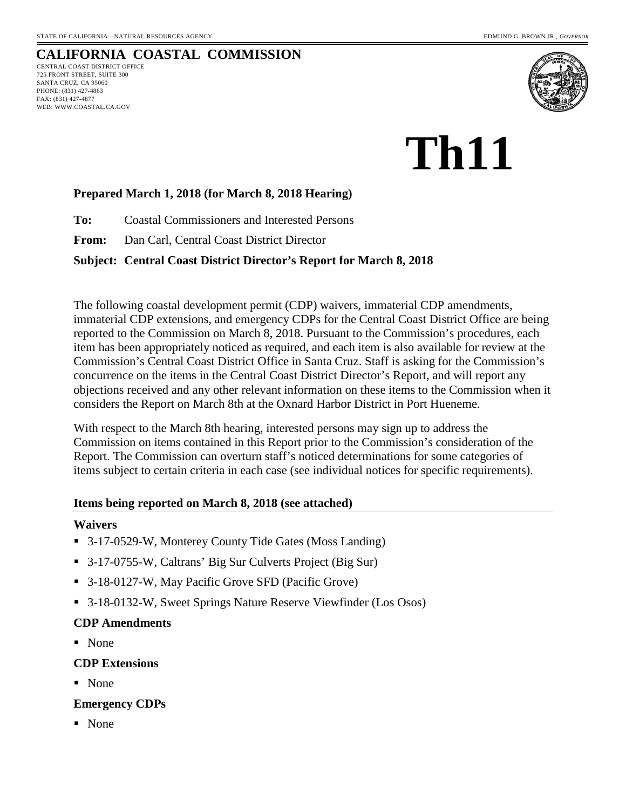WEB: WWW.COASTAL.CA.GOV

#### **CALIFORNIA COASTAL COMMISSION** CENTRAL COAST DISTRICT OFFICE 725 FRONT STREET, SUITE 300 SANTA CRUZ, CA 95060 PHONE: (831) 427-4863 FAX: (831) 427-4877



# **Th11**

## **Prepared March 1, 2018 (for March 8, 2018 Hearing)**

**To:** Coastal Commissioners and Interested Persons

**From:** Dan Carl, Central Coast District Director

### **Subject: Central Coast District Director's Report for March 8, 2018**

The following coastal development permit (CDP) waivers, immaterial CDP amendments, immaterial CDP extensions, and emergency CDPs for the Central Coast District Office are being reported to the Commission on March 8, 2018. Pursuant to the Commission's procedures, each item has been appropriately noticed as required, and each item is also available for review at the Commission's Central Coast District Office in Santa Cruz. Staff is asking for the Commission's concurrence on the items in the Central Coast District Director's Report, and will report any objections received and any other relevant information on these items to the Commission when it considers the Report on March 8th at the Oxnard Harbor District in Port Hueneme.

With respect to the March 8th hearing, interested persons may sign up to address the Commission on items contained in this Report prior to the Commission's consideration of the Report. The Commission can overturn staff's noticed determinations for some categories of items subject to certain criteria in each case (see individual notices for specific requirements).

#### **Items being reported on March 8, 2018 (see attached)**

### **Waivers**

- 3-17-0529-W, Monterey County Tide Gates (Moss Landing)
- 3-17-0755-W, Caltrans' Big Sur Culverts Project (Big Sur)
- 3-18-0127-W, May Pacific Grove SFD (Pacific Grove)
- 3-18-0132-W, Sweet Springs Nature Reserve Viewfinder (Los Osos)

### **CDP Amendments**

None

### **CDP Extensions**

■ None

### **Emergency CDPs**

■ None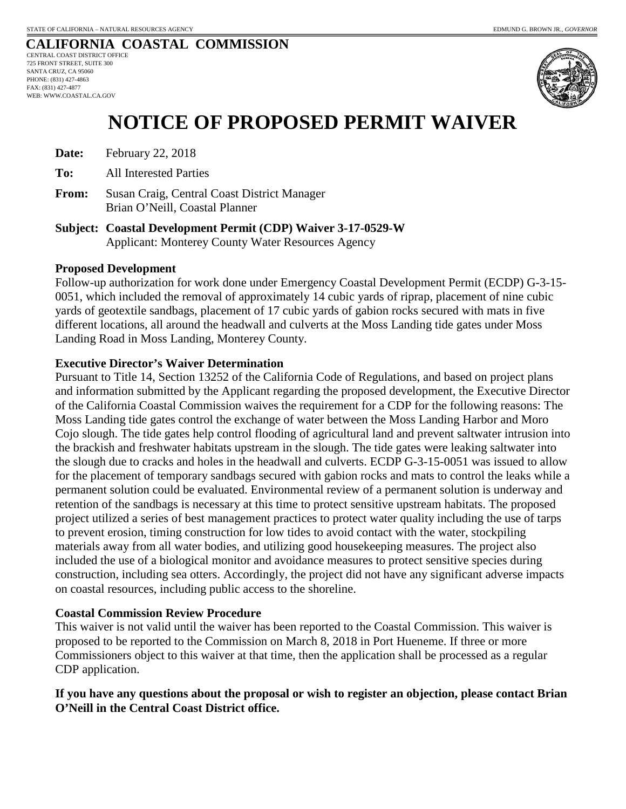## **CALIFORNIA COASTAL COMMISSION**

CENTRAL COAST DISTRICT OFFICE 725 FRONT STREET, SUITE 300 SANTA CRUZ, CA 95060 PHONE: (831) 427-4863 FAX: (831) 427-4877 WEB: WWW.COASTAL.CA.GOV



## **NOTICE OF PROPOSED PERMIT WAIVER**

- **Date:** February 22, 2018
- **To:** All Interested Parties
- **From:** Susan Craig, Central Coast District Manager Brian O'Neill, Coastal Planner
- **Subject: Coastal Development Permit (CDP) Waiver 3-17-0529-W**  Applicant: Monterey County Water Resources Agency

#### **Proposed Development**

Follow-up authorization for work done under Emergency Coastal Development Permit (ECDP) G-3-15- 0051, which included the removal of approximately 14 cubic yards of riprap, placement of nine cubic yards of geotextile sandbags, placement of 17 cubic yards of gabion rocks secured with mats in five different locations, all around the headwall and culverts at the Moss Landing tide gates under Moss Landing Road in Moss Landing, Monterey County.

#### **Executive Director's Waiver Determination**

Pursuant to Title 14, Section 13252 of the California Code of Regulations, and based on project plans and information submitted by the Applicant regarding the proposed development, the Executive Director of the California Coastal Commission waives the requirement for a CDP for the following reasons: The Moss Landing tide gates control the exchange of water between the Moss Landing Harbor and Moro Cojo slough. The tide gates help control flooding of agricultural land and prevent saltwater intrusion into the brackish and freshwater habitats upstream in the slough. The tide gates were leaking saltwater into the slough due to cracks and holes in the headwall and culverts. ECDP G-3-15-0051 was issued to allow for the placement of temporary sandbags secured with gabion rocks and mats to control the leaks while a permanent solution could be evaluated. Environmental review of a permanent solution is underway and retention of the sandbags is necessary at this time to protect sensitive upstream habitats. The proposed project utilized a series of best management practices to protect water quality including the use of tarps to prevent erosion, timing construction for low tides to avoid contact with the water, stockpiling materials away from all water bodies, and utilizing good housekeeping measures. The project also included the use of a biological monitor and avoidance measures to protect sensitive species during construction, including sea otters. Accordingly, the project did not have any significant adverse impacts on coastal resources, including public access to the shoreline.

#### **Coastal Commission Review Procedure**

This waiver is not valid until the waiver has been reported to the Coastal Commission. This waiver is proposed to be reported to the Commission on March 8, 2018 in Port Hueneme. If three or more Commissioners object to this waiver at that time, then the application shall be processed as a regular CDP application.

### **If you have any questions about the proposal or wish to register an objection, please contact Brian O'Neill in the Central Coast District office.**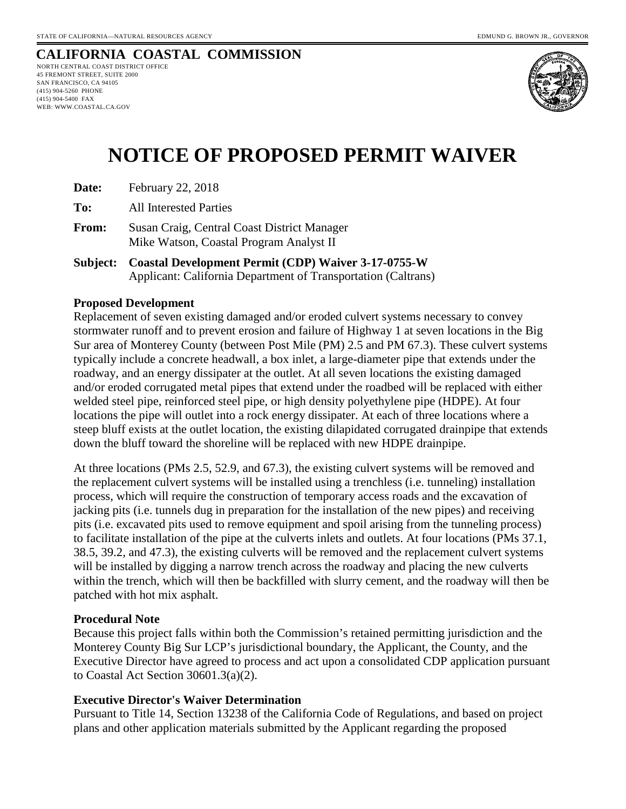WEB: WWW.COASTAL.CA.GOV

#### **CALIFORNIA COASTAL COMMISSION** NORTH CENTRAL COAST DISTRICT OFFICE 45 FREMONT STREET, SUITE 2000 SAN FRANCISCO, CA 94105 (415) 904-5260 PHONE (415) 904-5400 FAX



# **NOTICE OF PROPOSED PERMIT WAIVER**

**To:** All Interested Parties

**From:** Susan Craig, Central Coast District Manager Mike Watson, Coastal Program Analyst II

**Subject: Coastal Development Permit (CDP) Waiver 3-17-0755-W**  Applicant: California Department of Transportation (Caltrans)

#### **Proposed Development**

Replacement of seven existing damaged and/or eroded culvert systems necessary to convey stormwater runoff and to prevent erosion and failure of Highway 1 at seven locations in the Big Sur area of Monterey County (between Post Mile (PM) 2.5 and PM 67.3). These culvert systems typically include a concrete headwall, a box inlet, a large-diameter pipe that extends under the roadway, and an energy dissipater at the outlet. At all seven locations the existing damaged and/or eroded corrugated metal pipes that extend under the roadbed will be replaced with either welded steel pipe, reinforced steel pipe, or high density polyethylene pipe (HDPE). At four locations the pipe will outlet into a rock energy dissipater. At each of three locations where a steep bluff exists at the outlet location, the existing dilapidated corrugated drainpipe that extends down the bluff toward the shoreline will be replaced with new HDPE drainpipe.

At three locations (PMs 2.5, 52.9, and 67.3), the existing culvert systems will be removed and the replacement culvert systems will be installed using a trenchless (i.e. tunneling) installation process, which will require the construction of temporary access roads and the excavation of jacking pits (i.e. tunnels dug in preparation for the installation of the new pipes) and receiving pits (i.e. excavated pits used to remove equipment and spoil arising from the tunneling process) to facilitate installation of the pipe at the culverts inlets and outlets. At four locations (PMs 37.1, 38.5, 39.2, and 47.3), the existing culverts will be removed and the replacement culvert systems will be installed by digging a narrow trench across the roadway and placing the new culverts within the trench, which will then be backfilled with slurry cement, and the roadway will then be patched with hot mix asphalt.

#### **Procedural Note**

Because this project falls within both the Commission's retained permitting jurisdiction and the Monterey County Big Sur LCP's jurisdictional boundary, the Applicant, the County, and the Executive Director have agreed to process and act upon a consolidated CDP application pursuant to Coastal Act Section 30601.3(a)(2).

### **Executive Director's Waiver Determination**

Pursuant to Title 14, Section 13238 of the California Code of Regulations, and based on project plans and other application materials submitted by the Applicant regarding the proposed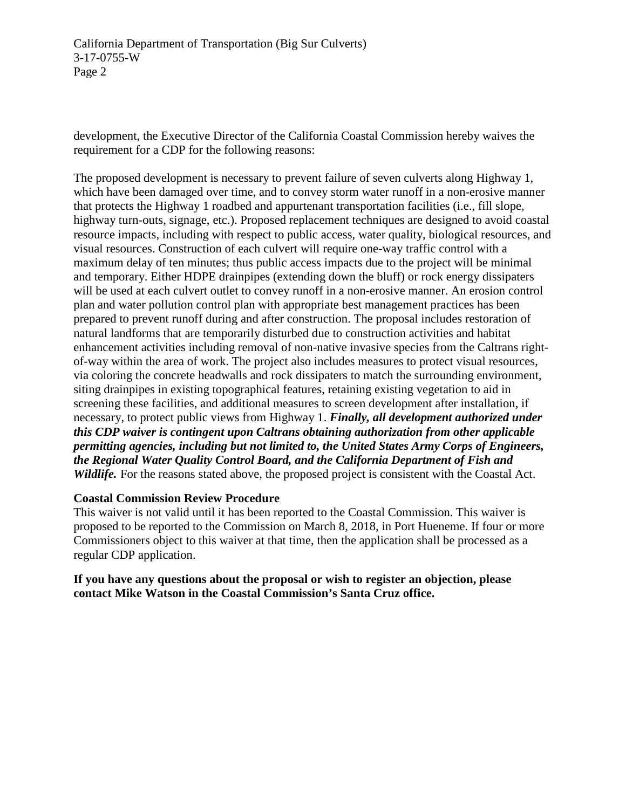development, the Executive Director of the California Coastal Commission hereby waives the requirement for a CDP for the following reasons:

The proposed development is necessary to prevent failure of seven culverts along Highway 1, which have been damaged over time, and to convey storm water runoff in a non-erosive manner that protects the Highway 1 roadbed and appurtenant transportation facilities (i.e., fill slope, highway turn-outs, signage, etc.). Proposed replacement techniques are designed to avoid coastal resource impacts, including with respect to public access, water quality, biological resources, and visual resources. Construction of each culvert will require one-way traffic control with a maximum delay of ten minutes; thus public access impacts due to the project will be minimal and temporary. Either HDPE drainpipes (extending down the bluff) or rock energy dissipaters will be used at each culvert outlet to convey runoff in a non-erosive manner. An erosion control plan and water pollution control plan with appropriate best management practices has been prepared to prevent runoff during and after construction. The proposal includes restoration of natural landforms that are temporarily disturbed due to construction activities and habitat enhancement activities including removal of non-native invasive species from the Caltrans rightof-way within the area of work. The project also includes measures to protect visual resources, via coloring the concrete headwalls and rock dissipaters to match the surrounding environment, siting drainpipes in existing topographical features, retaining existing vegetation to aid in screening these facilities, and additional measures to screen development after installation, if necessary, to protect public views from Highway 1. *Finally, all development authorized under this CDP waiver is contingent upon Caltrans obtaining authorization from other applicable permitting agencies, including but not limited to, the United States Army Corps of Engineers, the Regional Water Quality Control Board, and the California Department of Fish and Wildlife.* For the reasons stated above, the proposed project is consistent with the Coastal Act.

### **Coastal Commission Review Procedure**

This waiver is not valid until it has been reported to the Coastal Commission. This waiver is proposed to be reported to the Commission on March 8, 2018, in Port Hueneme. If four or more Commissioners object to this waiver at that time, then the application shall be processed as a regular CDP application.

**If you have any questions about the proposal or wish to register an objection, please contact Mike Watson in the Coastal Commission's Santa Cruz office.**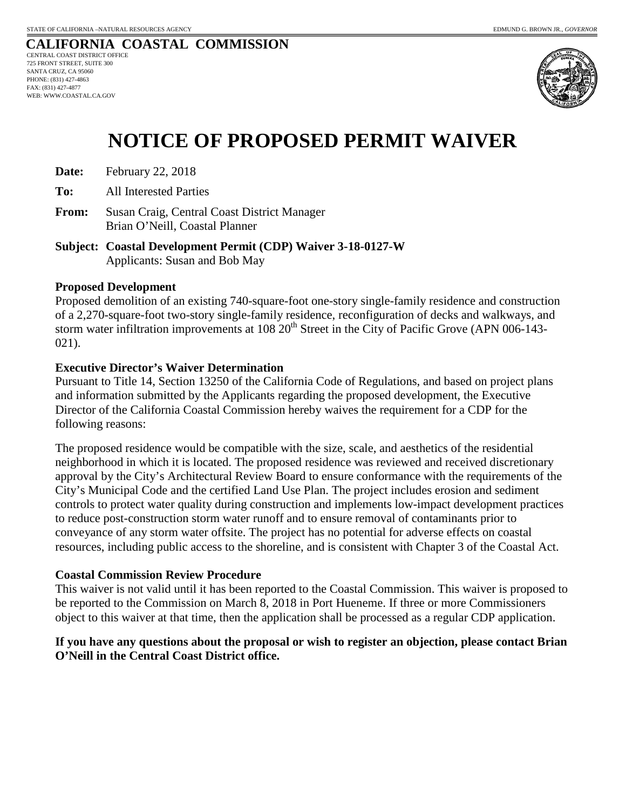#### **CALIFORNIA COASTAL COMMISSION** CENTRAL COAST DISTRICT OFFICE 725 FRONT STREET, SUITE 300 SANTA CRUZ, CA 95060 PHONE: (831) 427-4863 FAX: (831) 427-4877 WEB: WWW.COASTAL.CA.GOV



# **NOTICE OF PROPOSED PERMIT WAIVER**

**Date:** February 22, 2018

**To:** All Interested Parties

- **From:** Susan Craig, Central Coast District Manager Brian O'Neill, Coastal Planner
- **Subject: Coastal Development Permit (CDP) Waiver 3-18-0127-W**  Applicants: Susan and Bob May

#### **Proposed Development**

Proposed demolition of an existing 740-square-foot one-story single-family residence and construction of a 2,270-square-foot two-story single-family residence, reconfiguration of decks and walkways, and storm water infiltration improvements at 108 20<sup>th</sup> Street in the City of Pacific Grove (APN 006-143-021).

#### **Executive Director's Waiver Determination**

Pursuant to Title 14, Section 13250 of the California Code of Regulations, and based on project plans and information submitted by the Applicants regarding the proposed development, the Executive Director of the California Coastal Commission hereby waives the requirement for a CDP for the following reasons:

The proposed residence would be compatible with the size, scale, and aesthetics of the residential neighborhood in which it is located. The proposed residence was reviewed and received discretionary approval by the City's Architectural Review Board to ensure conformance with the requirements of the City's Municipal Code and the certified Land Use Plan. The project includes erosion and sediment controls to protect water quality during construction and implements low-impact development practices to reduce post-construction storm water runoff and to ensure removal of contaminants prior to conveyance of any storm water offsite. The project has no potential for adverse effects on coastal resources, including public access to the shoreline, and is consistent with Chapter 3 of the Coastal Act.

#### **Coastal Commission Review Procedure**

This waiver is not valid until it has been reported to the Coastal Commission. This waiver is proposed to be reported to the Commission on March 8, 2018 in Port Hueneme. If three or more Commissioners object to this waiver at that time, then the application shall be processed as a regular CDP application.

## **If you have any questions about the proposal or wish to register an objection, please contact Brian O'Neill in the Central Coast District office.**